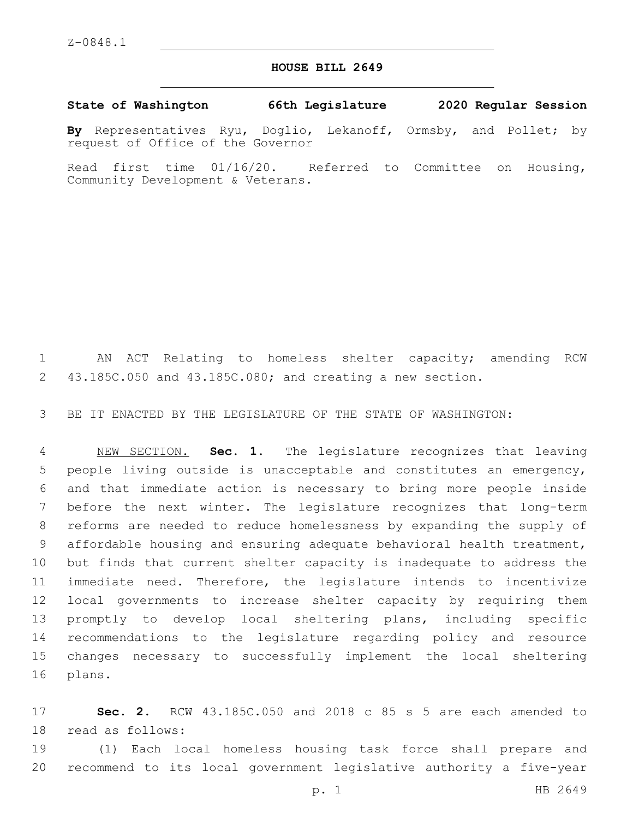## **HOUSE BILL 2649**

**State of Washington 66th Legislature 2020 Regular Session**

**By** Representatives Ryu, Doglio, Lekanoff, Ormsby, and Pollet; by request of Office of the Governor

Read first time 01/16/20. Referred to Committee on Housing, Community Development & Veterans.

 AN ACT Relating to homeless shelter capacity; amending RCW 43.185C.050 and 43.185C.080; and creating a new section.

BE IT ENACTED BY THE LEGISLATURE OF THE STATE OF WASHINGTON:

 NEW SECTION. **Sec. 1.** The legislature recognizes that leaving people living outside is unacceptable and constitutes an emergency, and that immediate action is necessary to bring more people inside before the next winter. The legislature recognizes that long-term reforms are needed to reduce homelessness by expanding the supply of affordable housing and ensuring adequate behavioral health treatment, but finds that current shelter capacity is inadequate to address the immediate need. Therefore, the legislature intends to incentivize local governments to increase shelter capacity by requiring them promptly to develop local sheltering plans, including specific recommendations to the legislature regarding policy and resource changes necessary to successfully implement the local sheltering plans.

 **Sec. 2.** RCW 43.185C.050 and 2018 c 85 s 5 are each amended to 18 read as follows:

 (1) Each local homeless housing task force shall prepare and recommend to its local government legislative authority a five-year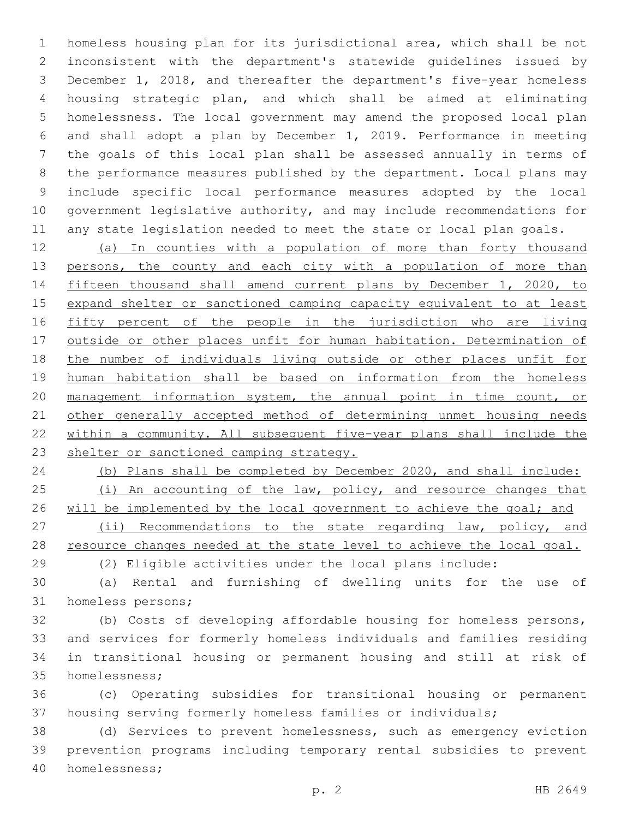homeless housing plan for its jurisdictional area, which shall be not inconsistent with the department's statewide guidelines issued by December 1, 2018, and thereafter the department's five-year homeless housing strategic plan, and which shall be aimed at eliminating homelessness. The local government may amend the proposed local plan and shall adopt a plan by December 1, 2019. Performance in meeting the goals of this local plan shall be assessed annually in terms of the performance measures published by the department. Local plans may include specific local performance measures adopted by the local government legislative authority, and may include recommendations for any state legislation needed to meet the state or local plan goals.

 (a) In counties with a population of more than forty thousand 13 persons, the county and each city with a population of more than fifteen thousand shall amend current plans by December 1, 2020, to expand shelter or sanctioned camping capacity equivalent to at least 16 fifty percent of the people in the jurisdiction who are living outside or other places unfit for human habitation. Determination of the number of individuals living outside or other places unfit for human habitation shall be based on information from the homeless management information system, the annual point in time count, or 21 other generally accepted method of determining unmet housing needs within a community. All subsequent five-year plans shall include the 23 shelter or sanctioned camping strategy.

 (b) Plans shall be completed by December 2020, and shall include:  $(1)$  An accounting of the law, policy, and resource changes that 26 will be implemented by the local government to achieve the goal; and 27 (ii) Recommendations to the state regarding law, policy, and 28 resource changes needed at the state level to achieve the local goal.

(2) Eligible activities under the local plans include:

 (a) Rental and furnishing of dwelling units for the use of 31 homeless persons;

 (b) Costs of developing affordable housing for homeless persons, and services for formerly homeless individuals and families residing in transitional housing or permanent housing and still at risk of 35 homelessness;

 (c) Operating subsidies for transitional housing or permanent housing serving formerly homeless families or individuals;

 (d) Services to prevent homelessness, such as emergency eviction prevention programs including temporary rental subsidies to prevent homelessness;40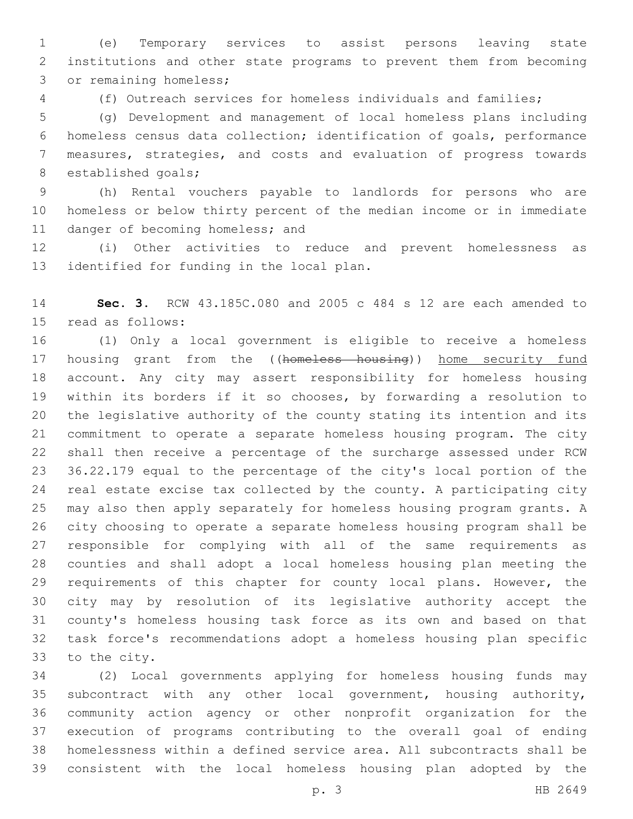(e) Temporary services to assist persons leaving state institutions and other state programs to prevent them from becoming 3 or remaining homeless;

(f) Outreach services for homeless individuals and families;

 (g) Development and management of local homeless plans including homeless census data collection; identification of goals, performance measures, strategies, and costs and evaluation of progress towards 8 established goals;

 (h) Rental vouchers payable to landlords for persons who are homeless or below thirty percent of the median income or in immediate 11 danger of becoming homeless; and

 (i) Other activities to reduce and prevent homelessness as 13 identified for funding in the local plan.

 **Sec. 3.** RCW 43.185C.080 and 2005 c 484 s 12 are each amended to 15 read as follows:

 (1) Only a local government is eligible to receive a homeless 17 housing grant from the ((homeless housing)) home security fund account. Any city may assert responsibility for homeless housing within its borders if it so chooses, by forwarding a resolution to the legislative authority of the county stating its intention and its commitment to operate a separate homeless housing program. The city shall then receive a percentage of the surcharge assessed under RCW 36.22.179 equal to the percentage of the city's local portion of the real estate excise tax collected by the county. A participating city may also then apply separately for homeless housing program grants. A city choosing to operate a separate homeless housing program shall be responsible for complying with all of the same requirements as counties and shall adopt a local homeless housing plan meeting the 29 requirements of this chapter for county local plans. However, the city may by resolution of its legislative authority accept the county's homeless housing task force as its own and based on that task force's recommendations adopt a homeless housing plan specific 33 to the city.

 (2) Local governments applying for homeless housing funds may subcontract with any other local government, housing authority, community action agency or other nonprofit organization for the execution of programs contributing to the overall goal of ending homelessness within a defined service area. All subcontracts shall be consistent with the local homeless housing plan adopted by the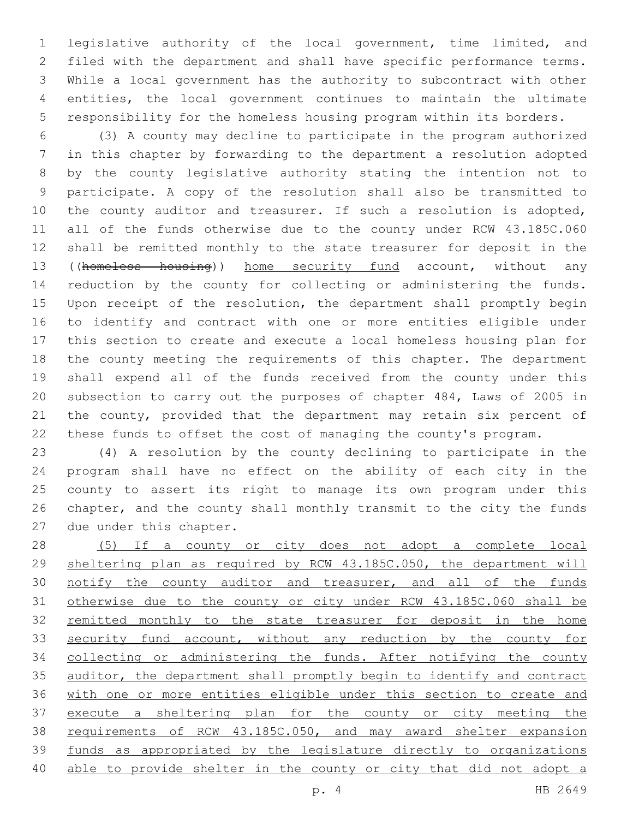legislative authority of the local government, time limited, and filed with the department and shall have specific performance terms. While a local government has the authority to subcontract with other entities, the local government continues to maintain the ultimate responsibility for the homeless housing program within its borders.

 (3) A county may decline to participate in the program authorized in this chapter by forwarding to the department a resolution adopted by the county legislative authority stating the intention not to participate. A copy of the resolution shall also be transmitted to 10 the county auditor and treasurer. If such a resolution is adopted, all of the funds otherwise due to the county under RCW 43.185C.060 shall be remitted monthly to the state treasurer for deposit in the ((homeless housing)) home security fund account, without any reduction by the county for collecting or administering the funds. Upon receipt of the resolution, the department shall promptly begin to identify and contract with one or more entities eligible under this section to create and execute a local homeless housing plan for the county meeting the requirements of this chapter. The department shall expend all of the funds received from the county under this subsection to carry out the purposes of chapter 484, Laws of 2005 in 21 the county, provided that the department may retain six percent of these funds to offset the cost of managing the county's program.

 (4) A resolution by the county declining to participate in the program shall have no effect on the ability of each city in the county to assert its right to manage its own program under this chapter, and the county shall monthly transmit to the city the funds 27 due under this chapter.

 (5) If a county or city does not adopt a complete local sheltering plan as required by RCW 43.185C.050, the department will 30 notify the county auditor and treasurer, and all of the funds otherwise due to the county or city under RCW 43.185C.060 shall be remitted monthly to the state treasurer for deposit in the home 33 security fund account, without any reduction by the county for 34 collecting or administering the funds. After notifying the county 35 auditor, the department shall promptly begin to identify and contract 36 with one or more entities eligible under this section to create and 37 execute a sheltering plan for the county or city meeting the requirements of RCW 43.185C.050, and may award shelter expansion funds as appropriated by the legislature directly to organizations able to provide shelter in the county or city that did not adopt a